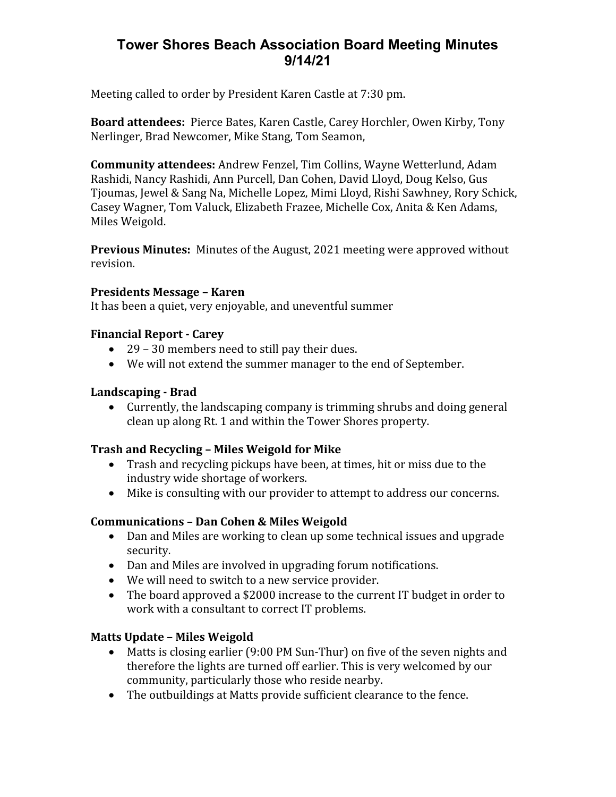# **Tower Shores Beach Association Board Meeting Minutes 9/14/21**

Meeting called to order by President Karen Castle at 7:30 pm.

**Board attendees:** Pierce Bates, Karen Castle, Carey Horchler, Owen Kirby, Tony Nerlinger, Brad Newcomer, Mike Stang, Tom Seamon,

**Community attendees:** Andrew Fenzel, Tim Collins, Wayne Wetterlund, Adam Rashidi, Nancy Rashidi, Ann Purcell, Dan Cohen, David Lloyd, Doug Kelso, Gus Tjoumas, Jewel & Sang Na, Michelle Lopez, Mimi Lloyd, Rishi Sawhney, Rory Schick, Casey Wagner, Tom Valuck, Elizabeth Frazee, Michelle Cox, Anita & Ken Adams, Miles Weigold.

**Previous Minutes:** Minutes of the August, 2021 meeting were approved without revision.

### **Presidents Message – Karen**

It has been a quiet, very enjoyable, and uneventful summer

#### **Financial Report - Carey**

- 29 30 members need to still pay their dues.
- We will not extend the summer manager to the end of September.

### **Landscaping - Brad**

 Currently, the landscaping company is trimming shrubs and doing general clean up along Rt. 1 and within the Tower Shores property.

### **Trash and Recycling – Miles Weigold for Mike**

- Trash and recycling pickups have been, at times, hit or miss due to the industry wide shortage of workers.
- Mike is consulting with our provider to attempt to address our concerns.

### **Communications – Dan Cohen & Miles Weigold**

- Dan and Miles are working to clean up some technical issues and upgrade security.
- Dan and Miles are involved in upgrading forum notifications.
- We will need to switch to a new service provider.
- The board approved a \$2000 increase to the current IT budget in order to work with a consultant to correct IT problems.

### **Matts Update – Miles Weigold**

- Matts is closing earlier (9:00 PM Sun-Thur) on five of the seven nights and therefore the lights are turned off earlier. This is very welcomed by our community, particularly those who reside nearby.
- The outbuildings at Matts provide sufficient clearance to the fence.